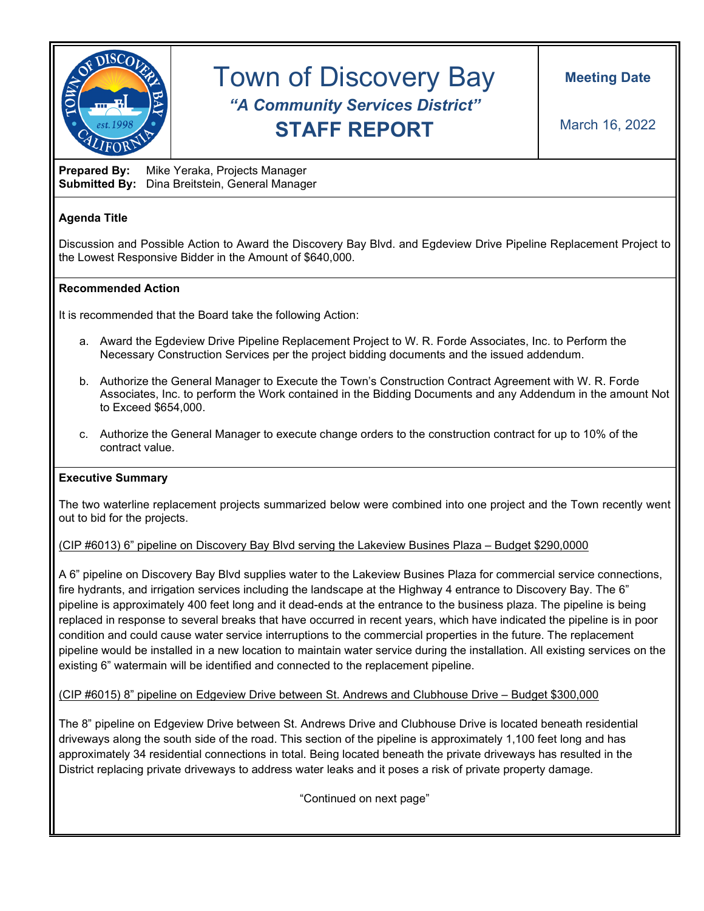

# Town of Discovery Bay *"A Community Services District"* **STAFF REPORT**

**Prepared By:** Mike Yeraka, Projects Manager **Submitted By:** Dina Breitstein, General Manager

# **Agenda Title**

Discussion and Possible Action to Award the Discovery Bay Blvd. and Egdeview Drive Pipeline Replacement Project to the Lowest Responsive Bidder in the Amount of \$640,000.

## **Recommended Action**

It is recommended that the Board take the following Action:

- a. Award the Egdeview Drive Pipeline Replacement Project to W. R. Forde Associates, Inc. to Perform the Necessary Construction Services per the project bidding documents and the issued addendum.
- b. Authorize the General Manager to Execute the Town's Construction Contract Agreement with W. R. Forde Associates, Inc. to perform the Work contained in the Bidding Documents and any Addendum in the amount Not to Exceed \$654,000.
- c. Authorize the General Manager to execute change orders to the construction contract for up to 10% of the contract value.

#### **Executive Summary**

The two waterline replacement projects summarized below were combined into one project and the Town recently went out to bid for the projects.

## (CIP #6013) 6" pipeline on Discovery Bay Blvd serving the Lakeview Busines Plaza – Budget \$290,0000

A 6" pipeline on Discovery Bay Blvd supplies water to the Lakeview Busines Plaza for commercial service connections, fire hydrants, and irrigation services including the landscape at the Highway 4 entrance to Discovery Bay. The 6" pipeline is approximately 400 feet long and it dead-ends at the entrance to the business plaza. The pipeline is being replaced in response to several breaks that have occurred in recent years, which have indicated the pipeline is in poor condition and could cause water service interruptions to the commercial properties in the future. The replacement pipeline would be installed in a new location to maintain water service during the installation. All existing services on the existing 6" watermain will be identified and connected to the replacement pipeline.

(CIP #6015) 8" pipeline on Edgeview Drive between St. Andrews and Clubhouse Drive – Budget \$300,000

The 8" pipeline on Edgeview Drive between St. Andrews Drive and Clubhouse Drive is located beneath residential driveways along the south side of the road. This section of the pipeline is approximately 1,100 feet long and has approximately 34 residential connections in total. Being located beneath the private driveways has resulted in the District replacing private driveways to address water leaks and it poses a risk of private property damage.

"Continued on next page"